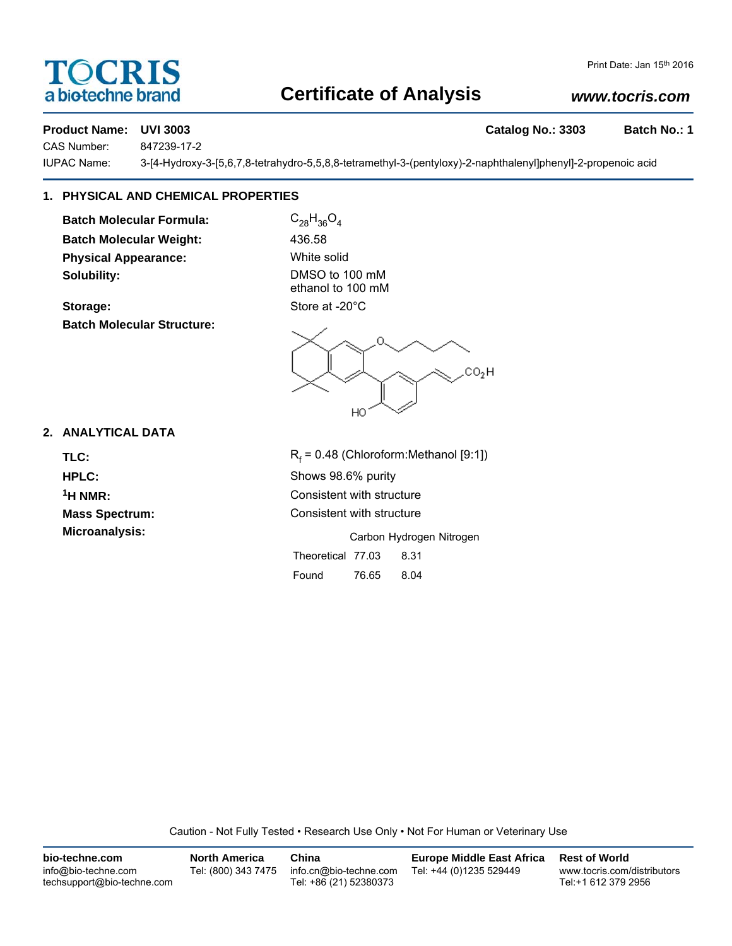# TOCRIS a biotechne brand

# **Certificate of Analysis**

# *www.tocris.com*

**Product Name: UVI 3003 Catalog No.: 3303 Batch No.: 1**

CAS Number: 847239-17-2

IUPAC Name: 3-[4-Hydroxy-3-[5,6,7,8-tetrahydro-5,5,8,8-tetramethyl-3-(pentyloxy)-2-naphthalenyl]phenyl]-2-propenoic acid

# **1. PHYSICAL AND CHEMICAL PROPERTIES**

**Batch Molecular Formula:** C<sub>28</sub>H<sub>36</sub>O<sub>4</sub> **Batch Molecular Weight:** 436.58 **Physical Appearance:** White solid **Solubility:** DMSO to 100 mM

**Batch Molecular Structure:**

ethanol to 100 mM Storage: Store at -20°C

O  $CO<sub>2</sub>H$ HO

## **2. ANALYTICAL DATA**

TLC: R<sub>f</sub>

 $R_f$  = 0.48 (Chloroform:Methanol [9:1]) **HPLC:** Shows 98.6% purity **1H NMR:** Consistent with structure **Mass Spectrum:** Consistent with structure **Microanalysis:** Microanalysis: **Carbon Hydrogen Nitrogen** 

Theoretical 77.03 8.31 Found 76.65 8.04

Caution - Not Fully Tested • Research Use Only • Not For Human or Veterinary Use

| bio-techne.com                                    | <b>North America</b> | China                                            | <b>Europe Middle East Africa</b> | <b>Rest of World</b>                               |
|---------------------------------------------------|----------------------|--------------------------------------------------|----------------------------------|----------------------------------------------------|
| info@bio-techne.com<br>techsupport@bio-techne.com | Tel: (800) 343 7475  | info.cn@bio-techne.com<br>Tel: +86 (21) 52380373 | Tel: +44 (0)1235 529449          | www.tocris.com/distributors<br>Tel:+1 612 379 2956 |